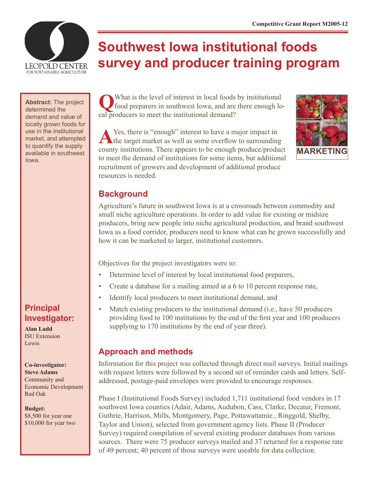

# **Southwest Iowa institutional foods survey and producer training program**

**Abstract:** The project determined the demand and value of locally grown foods for use in the institutional market, and attempted to quantify the supply available in southwest Iowa.

## **Principal Investigator:**

**Alan Ladd** ISU Extension Lewis

**Co-investigator: Steve Adams** Community and Economic Development Red Oak

**Budget:** \$8,500 for year one \$10,000 for year two

What is the level of interest in local foods by institutional food preparers in southwest Iowa, and are there enough local producers to meet the institutional demand?

A Yes, there is "enough" interest to have a major impact in the target market as well as some overflow to surrounding county institutions. There appears to be enough produce/product to meet the demand of institutions for some items, but additional recruitment of growers and development of additional produce resources is needed.



#### **Background**

Agriculture's future in southwest Iowa is at a crossroads between commodity and small niche agriculture operations. In order to add value for existing or midsize producers, bring new people into niche agricultural production, and brand southwest Iowa as a food corridor, producers need to know what can be grown successfully and how it can be marketed to larger, institutional customers.

Objectives for the project investigators were to:

- Determine level of interest by local institutional food preparers,
- Create a database for a mailing aimed at a 6 to 10 percent response rate,
- Identify local producers to meet institutional demand, and
- Match existing producers to the institutional demand (i.e., have 50 producers providing food to 100 institutions by the end of the first year and 100 producers supplying to 170 institutions by the end of year three).

### **Approach and methods**

Information for this project was collected through direct mail surveys. Initial mailings with request letters were followed by a second set of reminder cards and letters. Selfaddressed, postage-paid envelopes were provided to encourage responses.

Phase I (Institutional Foods Survey) included 1,711 institutional food vendors in 17 southwest Iowa counties (Adair, Adams, Audubon, Cass, Clarke, Decatur, Fremont, Guthrie, Harrison, Mills, Montgomery, Page, Pottawattamie., Ringgold, Shelby, Taylor and Union), selected from government agency lists. Phase II (Producer Survey) required compilation of several existing producer databases from various sources. There were 75 producer surveys mailed and 37 returned for a response rate of 49 percent; 40 percent of those surveys were useable for data collection.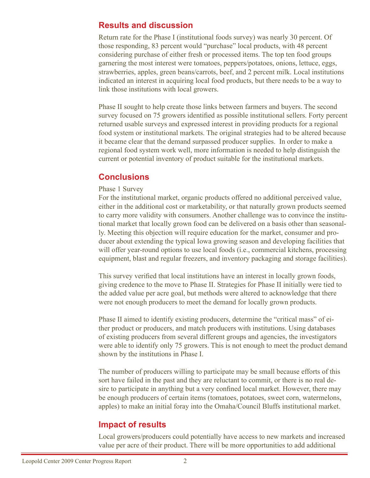#### **Results and discussion**

Return rate for the Phase I (institutional foods survey) was nearly 30 percent. Of those responding, 83 percent would "purchase" local products, with 48 percent considering purchase of either fresh or processed items. The top ten food groups garnering the most interest were tomatoes, peppers/potatoes, onions, lettuce, eggs, strawberries, apples, green beans/carrots, beef, and 2 percent milk. Local institutions indicated an interest in acquiring local food products, but there needs to be a way to link those institutions with local growers.

Phase II sought to help create those links between farmers and buyers. The second survey focused on 75 growers identified as possible institutional sellers. Forty percent returned usable surveys and expressed interest in providing products for a regional food system or institutional markets. The original strategies had to be altered because it became clear that the demand surpassed producer supplies. In order to make a regional food system work well, more information is needed to help distinguish the current or potential inventory of product suitable for the institutional markets.

#### **Conclusions**

#### Phase 1 Survey

For the institutional market, organic products offered no additional perceived value, either in the additional cost or marketability, or that naturally grown products seemed to carry more validity with consumers. Another challenge was to convince the institutional market that locally grown food can be delivered on a basis other than seasonally. Meeting this objection will require education for the market, consumer and producer about extending the typical Iowa growing season and developing facilities that will offer year-round options to use local foods (i.e., commercial kitchens, processing equipment, blast and regular freezers, and inventory packaging and storage facilities).

This survey verified that local institutions have an interest in locally grown foods, giving credence to the move to Phase II. Strategies for Phase II initially were tied to the added value per acre goal, but methods were altered to acknowledge that there were not enough producers to meet the demand for locally grown products.

Phase II aimed to identify existing producers, determine the "critical mass" of either product or producers, and match producers with institutions. Using databases of existing producers from several different groups and agencies, the investigators were able to identify only 75 growers. This is not enough to meet the product demand shown by the institutions in Phase I.

The number of producers willing to participate may be small because efforts of this sort have failed in the past and they are reluctant to commit, or there is no real desire to participate in anything but a very confined local market. However, there may be enough producers of certain items (tomatoes, potatoes, sweet corn, watermelons, apples) to make an initial foray into the Omaha/Council Bluffs institutional market.

#### **Impact of results**

Local growers/producers could potentially have access to new markets and increased value per acre of their product. There will be more opportunities to add additional